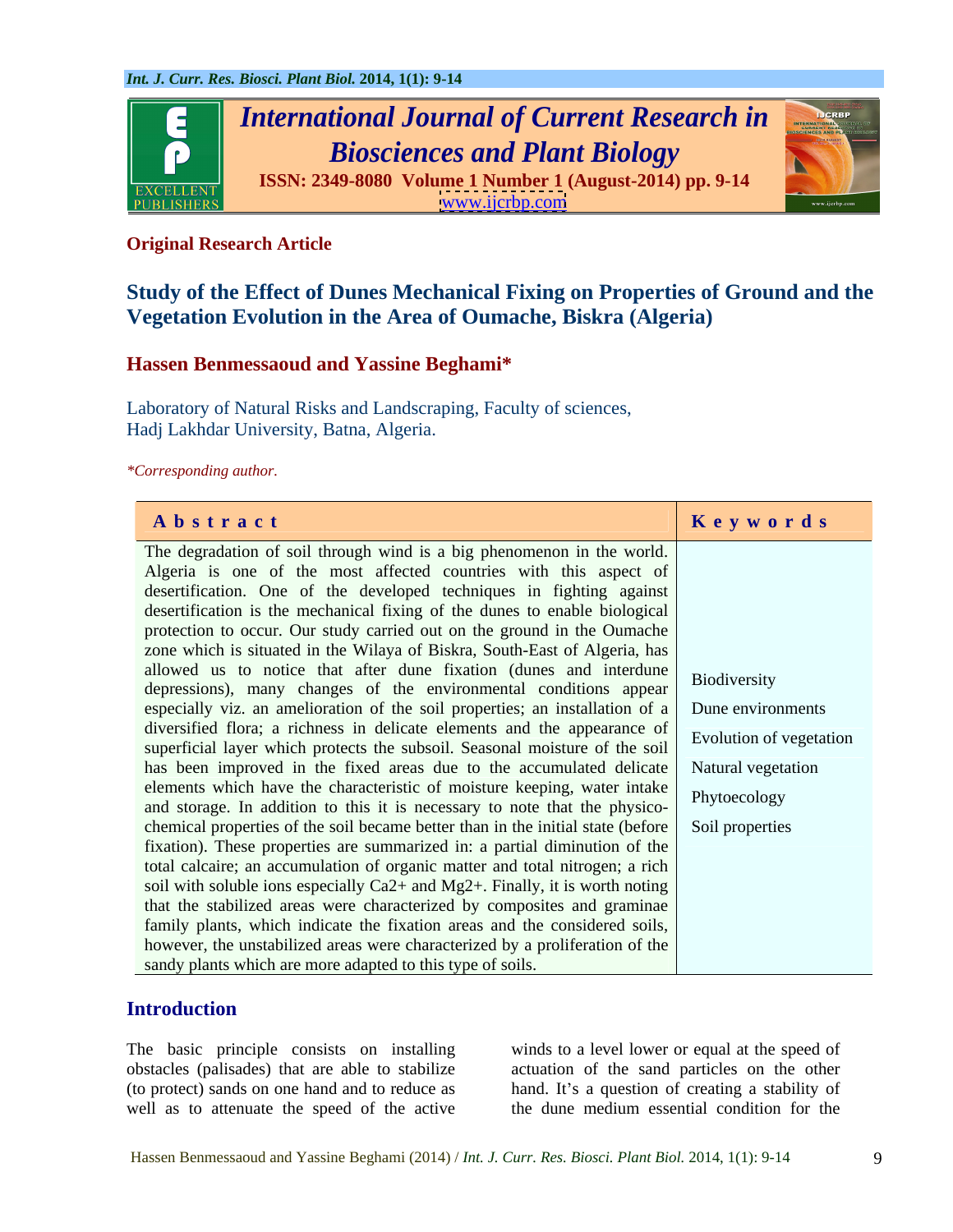

## **Original Research Article**

# **Study of the Effect of Dunes Mechanical Fixing on Properties of Ground and the Vegetation Evolution in the Area of Oumache, Biskra (Algeria)**

## **Hassen Benmessaoud and Yassine Beghami\***

Laboratory of Natural Risks and Landscraping, Faculty of sciences, Hadj Lakhdar University, Batna, Algeria.

*\*Corresponding author.*

| Abstract                                                                                              | Keywords                       |
|-------------------------------------------------------------------------------------------------------|--------------------------------|
| The degradation of soil through wind is a big phenomenon in the world.                                |                                |
| Algeria is one of the most affected countries with this aspect of                                     |                                |
| desertification. One of the developed techniques in fighting against                                  |                                |
| desertification is the mechanical fixing of the dunes to enable biological                            |                                |
| protection to occur. Our study carried out on the ground in the Oumache                               |                                |
| zone which is situated in the Wilaya of Biskra, South-East of Algeria, has                            |                                |
| allowed us to notice that after dune fixation (dunes and interdune Biodiversity                       |                                |
| depressions), many changes of the environmental conditions appear                                     |                                |
| especially viz. an amelioration of the soil properties; an installation of $\alpha$ Dune environments |                                |
| diversified flora; a richness in delicate elements and the appearance of                              | <b>Evolution of vegetation</b> |
| superficial layer which protects the subsoil. Seasonal moisture of the soil                           |                                |
| has been improved in the fixed areas due to the accumulated delicate Natural vegetation               |                                |
| elements which have the characteristic of moisture keeping, water intake                              | Phytoecology                   |
| and storage. In addition to this it is necessary to note that the physico-                            |                                |
| chemical properties of the soil became better than in the initial state (before Soil properties       |                                |
| fixation). These properties are summarized in: a partial diminution of the                            |                                |
| total calcaire; an accumulation of organic matter and total nitrogen; a rich                          |                                |
| soil with soluble ions especially $Ca2+$ and Mg2+. Finally, it is worth noting                        |                                |
| that the stabilized areas were characterized by composites and graminae                               |                                |
| family plants, which indicate the fixation areas and the considered soils,                            |                                |
| however, the unstabilized areas were characterized by a proliferation of the                          |                                |
| sandy plants which are more adapted to this type of soils.                                            |                                |

## **Introduction**

The basic principle consists on installing obstacles (palisades) that are able to stabilize actuation of the sand particles on the other (to protect) sands on one hand and to reduce as well as to attenuate the speed of the active

winds to a level lower or equal at the speed of hand. It's a question of creating a stability of the dune medium essential condition for the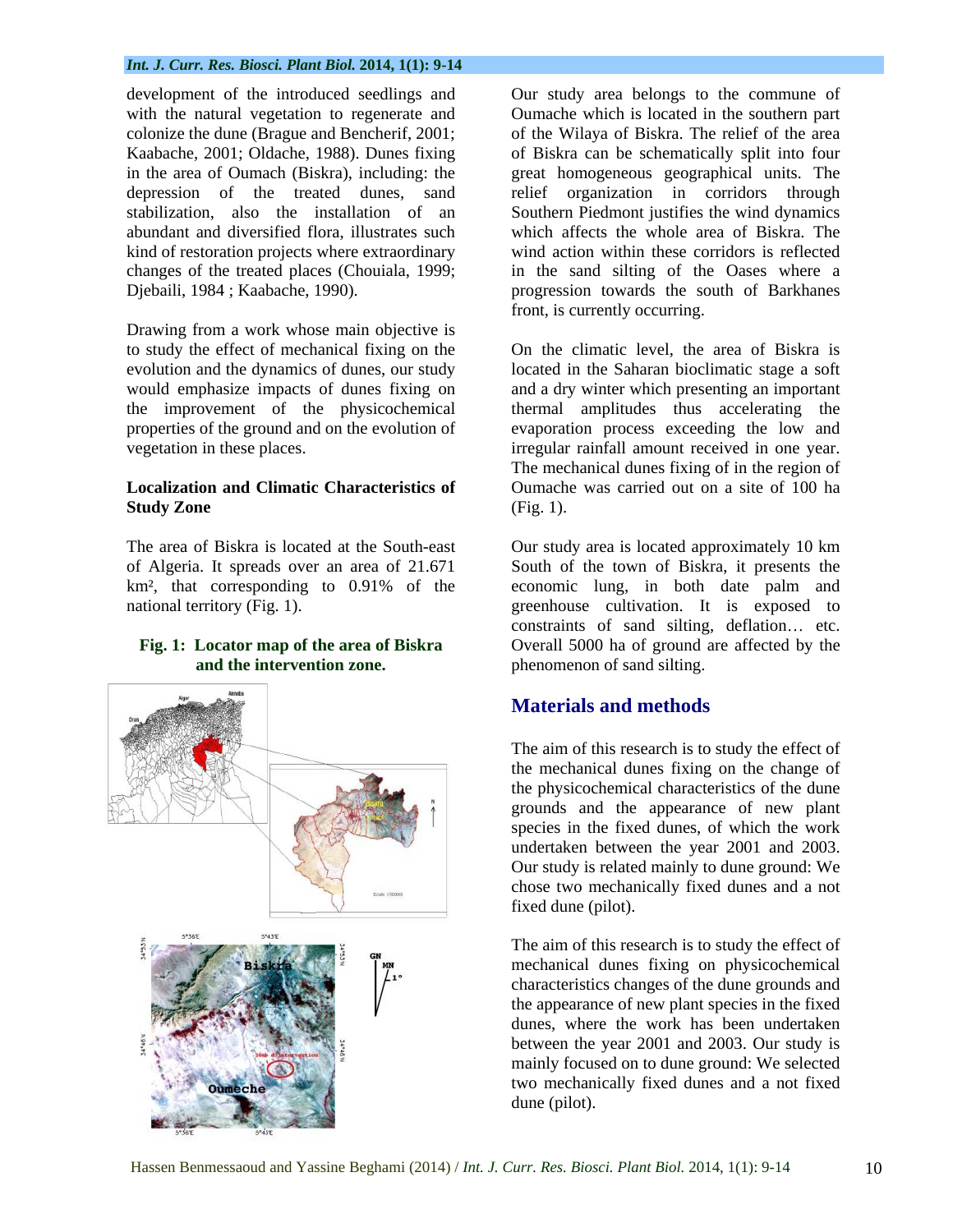### *Int. J. Curr. Res. Biosci. Plant Biol.* **2014, 1(1): 9-14**

development of the introduced seedlings and Our study area belongs to the commune of with the natural vegetation to regenerate and Oumache which is located in the southern part colonize the dune (Brague and Bencherif, 2001; of the Wilaya of Biskra. The relief of the area Kaabache, 2001; Oldache, 1988). Dunes fixing of Biskra can be schematically split into four in the area of Oumach (Biskra), including: the great homogeneous geographical units. The depression of the treated dunes, sand relief organization in corridors through stabilization, also the installation of an Southern Piedmont justifies the wind dynamics abundant and diversified flora, illustrates such which affects the whole area of Biskra. The kind of restoration projects where extraordinary changes of the treated places (Chouiala, 1999; in the sand silting of the Oases where a Djebaili, 1984 ; Kaabache, 1990). progression towards the south of Barkhanes

Drawing from a work whose main objective is



wind action within these corridors is reflected front, is currently occurring.

to study the effect of mechanical fixing on the On the climatic level, the area of Biskra is evolution and the dynamics of dunes, our study located in the Saharan bioclimatic stage a soft would emphasize impacts of dunes fixing on and a dry winter which presenting an important the improvement of the physicochemical thermal amplitudes thus accelerating the properties of the ground and on the evolution of evaporation process exceeding the low and vegetation in these places. irregular rainfall amount received in one year. **Localization and Climatic Characteristics of** Oumache was carried out on a site of 100 ha **Study Zone** (Fig. 1). The mechanical dunes fixing of in the region of (Fig. 1).

The area of Biskra is located at the South-east Our study area is located approximately 10 km of Algeria. It spreads over an area of 21.671 South of the town of Biskra, it presents the km<sup>2</sup>, that corresponding to 0.91% of the economic lung, in both date palm and national territory (Fig. 1). greenhouse cultivation. It is exposed to **Fig. 1: Locator map of the area of Biskra**  Overall 5000 ha of ground are affected by the **and the intervention zone.** phenomenon of sand silting. economic lung, in both date palm and constraints of sand silting, deflation... etc.

## **Materials and methods**

The aim of this research is to study the effect of the mechanical dunes fixing on the change of the physicochemical characteristics of the dune grounds and the appearance of new plant species in the fixed dunes, of which the work undertaken between the year 2001 and 2003. Our study is related mainly to dune ground: We chose two mechanically fixed dunes and a not fixed dune (pilot).

The aim of this research is to study the effect of mechanical dunes fixing on physicochemical characteristics changes of the dune grounds and the appearance of new plant species in the fixed dunes, where the work has been undertaken between the year 2001 and 2003. Our study is mainly focused on to dune ground: We selected two mechanically fixed dunes and a not fixed dune (pilot).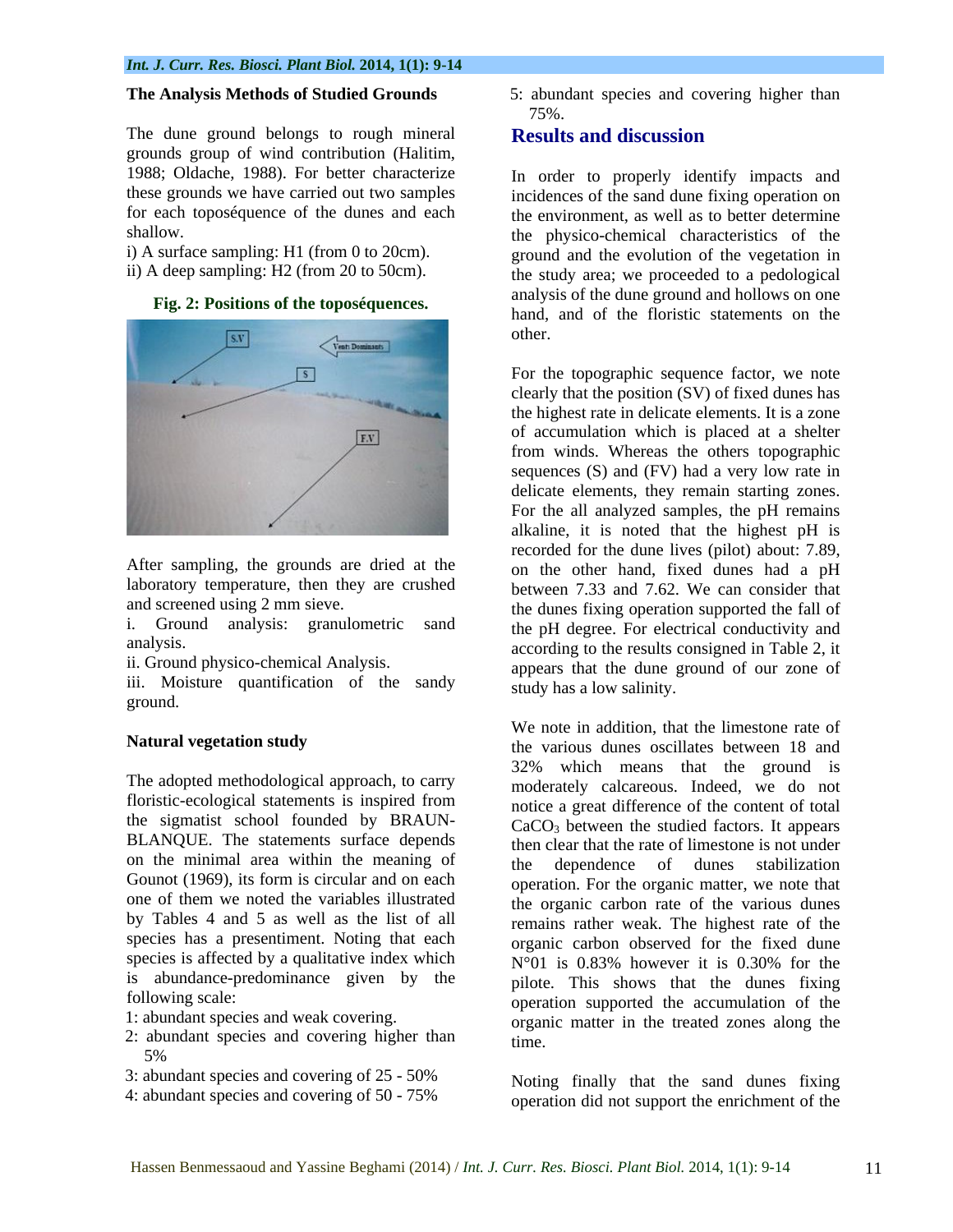#### *Int. J. Curr. Res. Biosci. Plant Biol.* **2014, 1(1): 9-14**

### **The Analysis Methods of Studied Grounds**

The dune ground belongs to rough mineral **Results and discussion** grounds group of wind contribution (Halitim, 1988; Oldache, 1988). For better characterize

### **Fig. 2: Positions of the toposéquences.**



After sampling, the grounds are dried at the laboratory temperature, then they are crushed

iii. Moisture quantification of the sandy ground.

floristic-ecological statements is inspired from the sigmatist school founded by BRAUN- BLANQUE. The statements surface depends on the minimal area within the meaning of the dependence of dunes stabilization Gounot (1969), its form is circular and on each operation. For the organic matter, we note that one of them we noted the variables illustrated by Tables 4 and 5 as well as the list of all species has a presentiment. Noting that each organic carbon observed for the fixed dune species is affected by a qualitative index which  $N^{\circ}01$  is  $0.83\%$  however it is  $0.30\%$  for the is abundance-predominance given by the

- 
- 2: abundant species and covering higher than  $time$ . 5%
- 3: abundant species and covering of 25 50%
- 4: abundant species and covering of 50 75%

5: abundant species and covering higher than 75%.

## **Results and discussion**

these grounds we have carried out two samples incidences of the sand dune fixing operation on for each toposéquence of the dunes and each the environment, as well as to better determine shallow. the physico-chemical characteristics of the i) A surface sampling: H1 (from 0 to 20cm). ground and the evolution of the vegetation in ii) A deep sampling: H2 (from 20 to 50cm). The study area; we proceeded to a pedological In order to properly identify impacts and analysis of the dune ground and hollows on one hand, and of the floristic statements on the other.

and screened using 2 mm sieve.<br>
the dunes fixing operation supported the fall of i. Ground analysis: granulometric sand the pH degree. For electrical conductivity and analysis. according to the results consigned in Table 2, it ii. Ground physico-chemical Analysis. appears that the dune ground of our zone of For the topographic sequence factor, we note clearly that the position (SV) of fixed dunes has the highest rate in delicate elements. It is a zone of accumulation which is placed at a shelter from winds. Whereas the others topographic sequences (S) and (FV) had a very low rate in delicate elements, they remain starting zones. For the all analyzed samples, the pH remains alkaline, it is noted that the highest pH is recorded for the dune lives (pilot) about: 7.89, on the other hand, fixed dunes had a pH between 7.33 and 7.62. We can consider that study has a low salinity.

Natural vegetation study **the various dunes** oscillates between 18 and The adopted methodological approach, to carry<br>The adopted methodological approach, to carry<br>moderately calcareous. Indeed, we do not following scale:<br>
operation supported the accumulation of the 1: abundant species and weak covering. organic matter in the treated zones along the We note in addition, that the limestone rate of 32% which means that the ground is moderately calcareous. Indeed, we do not notice a great difference of the content of total  $CaCO<sub>3</sub>$  between the studied factors. It appears then clear that the rate of limestone is not under the dependence of dunes stabilization the organic carbon rate of the various dunes remains rather weak. The highest rate of the N°01 is 0.83% however it is 0.30% for the pilote. This shows that the dunes fixing time.

> Noting finally that the sand dunes fixing operation did not support the enrichment of the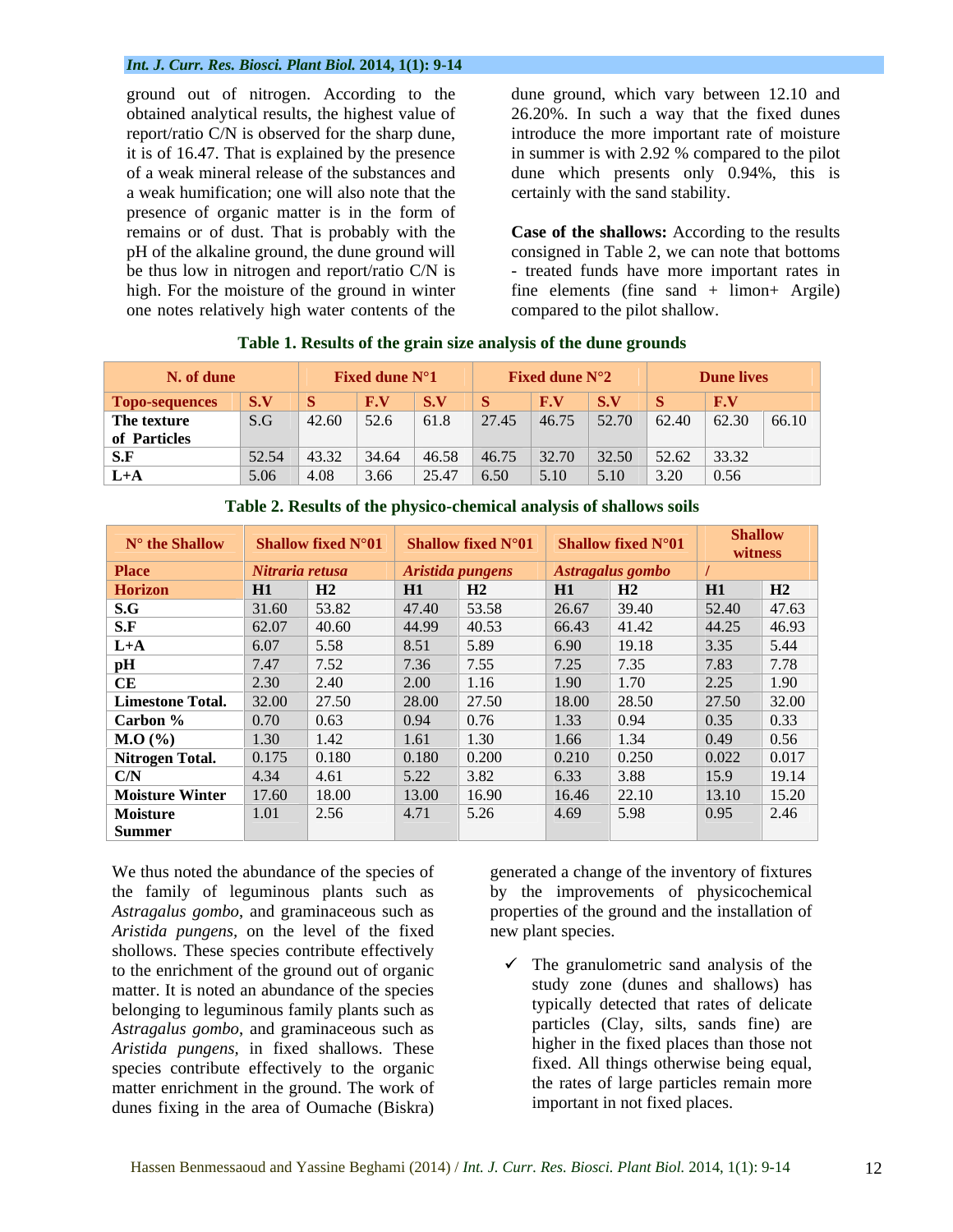### *Int. J. Curr. Res. Biosci. Plant Biol.* **2014, 1(1): 9-14**

ground out of nitrogen. According to the dune ground, which vary between 12.10 and obtained analytical results, the highest value of 26.20%. In such a way that the fixed dunes report/ratio C/N is observed for the sharp dune, introduce the more important rate of moisture it is of 16.47. That is explained by the presence in summer is with 2.92 % compared to the pilot of a weak mineral release of the substances and dune which presents only 0.94%, this is a weak humification; one will also note that the presence of organic matter is in the form of remains or of dust. That is probably with the **Case of the shallows:** According to the results pH of the alkaline ground, the dune ground will be thus low in nitrogen and report/ratio C/N is high. For the moisture of the ground in winter fine elements (fine sand + limon+ Argile) one notes relatively high water contents of the

certainly with the sand stability.

consigned in Table 2, we can note that bottoms - treated funds have more important rates in compared to the pilot shallow.

| N. of dune   |                                                                                                                     |                                                                                                                               | <b>Fixed dune <math>N^{\circ}1</math></b> |  | <b>Fixed dune <math>N^{\circ}2</math></b> |  | <b>Dune lives</b> |  |
|--------------|---------------------------------------------------------------------------------------------------------------------|-------------------------------------------------------------------------------------------------------------------------------|-------------------------------------------|--|-------------------------------------------|--|-------------------|--|
|              |                                                                                                                     |                                                                                                                               |                                           |  |                                           |  |                   |  |
| The texture  |                                                                                                                     |                                                                                                                               |                                           |  |                                           |  |                   |  |
| of Particles |                                                                                                                     |                                                                                                                               |                                           |  |                                           |  |                   |  |
| S.F          |                                                                                                                     | $\vert$ 52.54 $\vert$ 43.32 $\vert$ 34.64 $\vert$ 46.58 $\vert$ 46.75 $\vert$ 32.70 $\vert$ 32.50 $\vert$ 52.62 $\vert$ 33.32 |                                           |  |                                           |  |                   |  |
| $L+A$        | $\vert 5.06 \vert$ 4.08 $\vert 3.66 \vert$ 25.47 $\vert 6.50 \vert$ 5.10 $\vert 5.10 \vert$ 3.20 $\vert 0.56 \vert$ |                                                                                                                               |                                           |  |                                           |  |                   |  |

## **Table 1. Results of the grain size analysis of the dune grounds**

| $N^{\circ}$ the Shallow |                    | Shallow fixed N°01<br><b>Shallow fixed N°01</b> |                     |                     | Shallow fixed N°01 |                        | <b>Shallow</b><br>witness |           |  |
|-------------------------|--------------------|-------------------------------------------------|---------------------|---------------------|--------------------|------------------------|---------------------------|-----------|--|
| <b>Place</b>            | Nitraria retusa    |                                                 | Aristida pungens    |                     |                    | Astragalus gombo       |                           |           |  |
| Horizon                 | $H1$ $H2$          |                                                 | $\vert$ H1          | H <sub>2</sub>      | H1                 | $\vert$ H <sub>2</sub> | H1                        | H2        |  |
| S.G                     | 31.60              | $\vert$ 53.82                                   | 47.40               | 53.58               | 26.67              | 39.40                  | 52.40                     | 47.63     |  |
| S.F                     | 62.07              | 40.60                                           | $ 44.99\rangle$     | 40.53               | 66.43              | $\vert$ 41.42          | 44.25                     | 46.93     |  |
| $L+A$                   | 6.07               | $\vert 5.58 \vert$                              | $\vert 8.51 \vert$  | $\vert 5.89$        | 6.90               | $19.18$                | $\vert 3.35 \vert$        | 5.44      |  |
| pH                      | 7.47               | $\vert 7.52 \vert$                              | $\vert 7.36 \vert$  | $\vert 7.55 \vert$  | 7.25               | $\vert 7.35 \vert$     | $\vert 7.83 \vert$        | 7.78      |  |
| CE                      | 2.30               | $2.40$                                          | 2.00                | $1.16$              | 1.90               | $1.70$                 | 2.25                      | 1.90      |  |
| <b>Limestone Total.</b> | $32.00$   27.50    |                                                 | 28.00               | 27.50               | 18.00              | 28.50                  | 27.50                     | 32.00     |  |
| Carbon %                | $\vert 0.70 \vert$ | $\vert 0.63 \vert$                              | $\vert 0.94 \vert$  | $\vert 0.76 \vert$  | 1.33               | 0.94                   | $\vert 0.35 \vert$        | 0.33      |  |
| $M.O$ (%)               | $\vert 1.30 \vert$ | $1.42$                                          | $\vert 1.61 \vert$  | 1.30                | 1.66               | $1.34$                 | $\vert 0.49 \vert$        | 0.56      |  |
| Nitrogen Total.         |                    | $0.175$ 0.180                                   | $\vert 0.180 \vert$ | $\vert 0.200 \vert$ | 0.210              | 0.250                  | $\vert 0.022 \vert$       | $0.017\,$ |  |
| C/N                     | 4.34               | $\vert 4.61 \vert$                              | 5.22                | $\vert 3.82 \vert$  | 6.33               | 3.88                   | 15.9                      | 19.14     |  |
| <b>Moisture Winter</b>  | 17.60              | $18.00$                                         | 13.00               | $16.90$             | 16.46              | $22.10$                | 13.10                     | 15.20     |  |
| Moisture                | $\mid$ 1.01        | 2.56                                            | $\vert 4.71 \vert$  | $\vert 5.26 \vert$  | 4.69               | 5.98                   | $\vert 0.95 \vert$        | 2.46      |  |
| <b>Summer</b>           |                    |                                                 |                     |                     |                    |                        |                           |           |  |

**Table 2. Results of the physico-chemical analysis of shallows soils**

We thus noted the abundance of the species of generated a change of the inventory of fixtures the family of leguminous plants such as by the improvements of physicochemical *Astragalus gombo*, and graminaceous such as properties of the ground and the installation of *Aristida pungens,* on the level of the fixed shollows. These species contribute effectively<br>to the enginement of the ground out of engine to the enrichment of the ground out of organic matter. It is noted an abundance of the species belonging to leguminous family plants such as *Astragalus gombo*, and graminaceous such as *Aristida pungens,* in fixed shallows. These species contribute effectively to the organic matter enrichment in the ground. The work of dunes fixing in the area of Oumache (Biskra)

new plant species.

The granulometric sand analysis of the study zone (dunes and shallows) has typically detected that rates of delicate particles (Clay, silts, sands fine) are higher in the fixed places than those not fixed. All things otherwise being equal, the rates of large particles remain more important in not fixed places.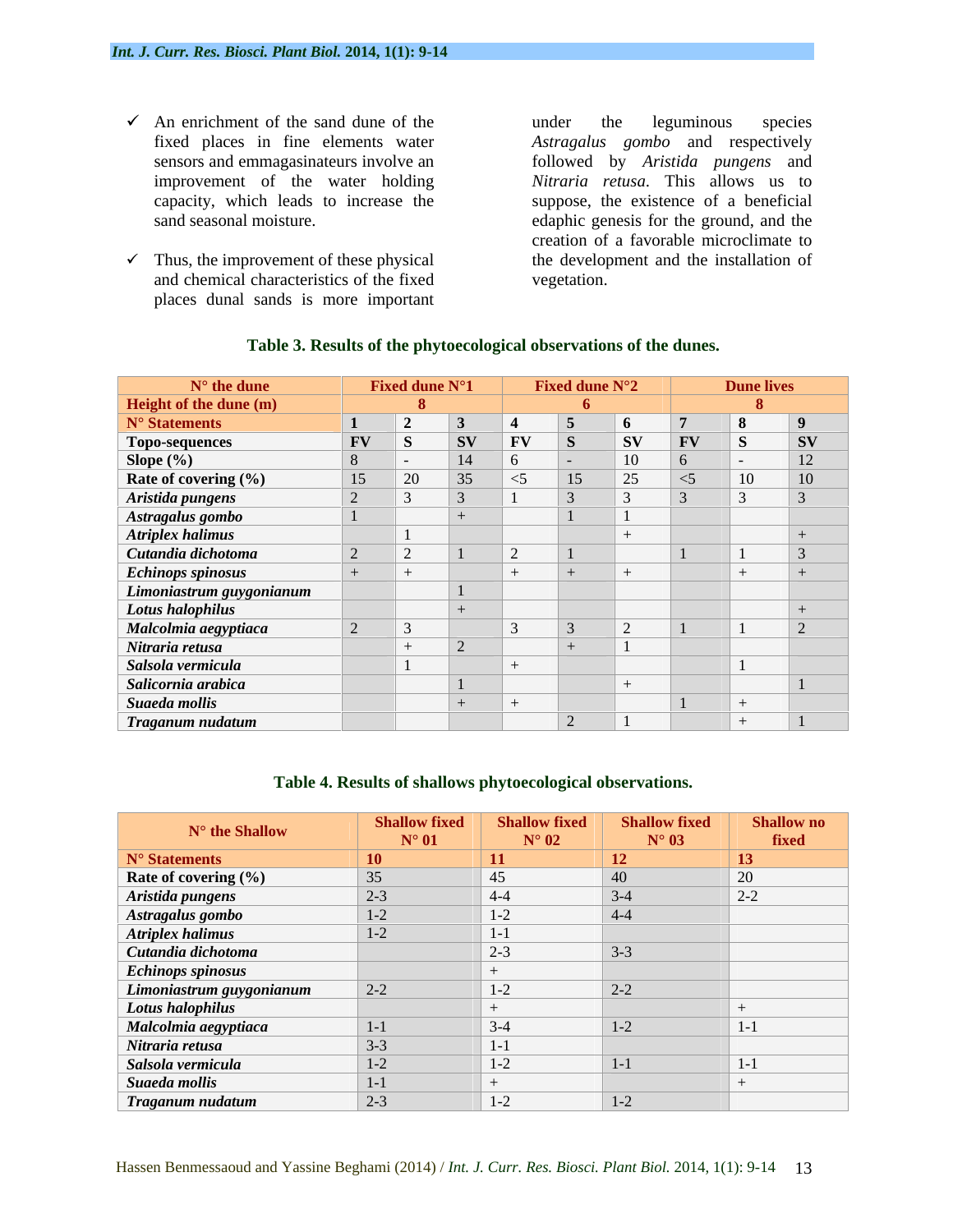- $\checkmark$  An enrichment of the sand dune of the  $\checkmark$  and  $\checkmark$  the leguminous species capacity, which leads to increase the
- $\checkmark$ and chemical characteristics of the fixed places dunal sands is more important

fixed places in fine elements water *Astragalus gombo* and respectively sensors and emmagasinateurs involve an followed by *Aristida pungens* and improvement of the water holding *Nitraria retusa*. This allows us to sand seasonal moisture. edaphic genesis for the ground, and the Thus, the improvement of these physical the development and the installation of under the leguminous species suppose, the existence of a beneficial creation of a favorable microclimate to vegetation.

| $N^{\circ}$ the dune                                          |                                                          | Fixed dune N°1 |                 |           | <b>Fixed dune <math>N^{\circ}2</math></b> |                       |                               | Dune lives |            |
|---------------------------------------------------------------|----------------------------------------------------------|----------------|-----------------|-----------|-------------------------------------------|-----------------------|-------------------------------|------------|------------|
| Height of the dune (m)                                        |                                                          |                |                 |           |                                           |                       |                               |            |            |
| N° Statements                                                 |                                                          |                |                 |           |                                           |                       |                               |            |            |
| Topo-sequences                                                | $\ $ FV $\ $ S                                           |                | $\vert$ SV      | $\mid$ FV |                                           | $\vert$ SV $\vert$ FV |                               |            | $\vert$ SV |
| Slope $(\frac{\%}{\%})$<br>Rate of covering $(\frac{\%}{\%})$ |                                                          |                | 14              |           |                                           | 10 <sup>1</sup>       |                               |            | 12         |
|                                                               | $\begin{array}{ c c c c }\n\hline\n15 & 20\n\end{array}$ |                | $\vert$ 35      | $\leq$ 5  | $\vert$ 15                                | $\vert$ 25            | $\vert \langle 5 \vert \vert$ | -10        | 10         |
| Aristida pungens                                              |                                                          |                |                 |           |                                           |                       |                               |            |            |
| Astragalus gombo                                              |                                                          |                |                 |           |                                           |                       |                               |            |            |
| Atriplex halimus                                              |                                                          |                |                 |           |                                           |                       |                               |            |            |
| Cutandia dichotoma                                            |                                                          |                |                 |           |                                           |                       |                               |            |            |
| Echinops spinosus                                             |                                                          | $+$            |                 |           | $+$                                       |                       |                               |            |            |
| Limoniastrum guygonianum                                      |                                                          |                |                 |           |                                           |                       |                               |            |            |
| Lotus halophilus                                              |                                                          |                |                 |           |                                           |                       |                               |            |            |
| Malcolmia aegyptiaca                                          |                                                          |                |                 |           |                                           |                       |                               |            |            |
| Nitraria retusa                                               |                                                          | $+$ $-$        | $\vert 2 \vert$ |           |                                           |                       |                               |            |            |
| Salsola vermicula                                             |                                                          |                |                 |           |                                           |                       |                               |            |            |
| Salicornia arabica                                            |                                                          |                |                 |           |                                           |                       |                               |            |            |
| Suaeda mollis                                                 |                                                          |                |                 |           |                                           |                       |                               |            |            |
| Traganum nudatum                                              |                                                          |                |                 |           |                                           |                       |                               |            |            |

### **Table 3. Results of the phytoecological observations of the dunes.**

#### **Table 4. Results of shallows phytoecological observations.**

| $N^{\circ}$ the Shallow  | <b>Shallow fixed</b> | <b>Shallow fixed</b>   | <b>Shallow fixed</b> | <b>Shallow no</b> |
|--------------------------|----------------------|------------------------|----------------------|-------------------|
|                          | $N^{\circ}$ 01       | $N^\circ 02$           | $N^{\circ}$ 03       | fixed             |
| $N^{\circ}$ Statements   | 10 <sup>°</sup>      | 11                     | <b>12</b>            | 13 <sup>7</sup>   |
| Rate of covering (%)     | 35                   | 45                     | 40                   | 20                |
| Aristida pungens         | $\vert$ 2-3          | $4 - 4$                | $3-4$                | $2 - 2$           |
| Astragalus gombo         | $1 - 2$              | $1 - 2$                | $4 - 4$              |                   |
| Atriplex halimus         | $1 - 2$              | $-4$                   |                      |                   |
| Cutandia dichotoma       |                      | $2 - 3$                | $3 - 3$              |                   |
| Echinops spinosus        |                      |                        |                      |                   |
| Limoniastrum guygonianum | $\vert$ 2-2          | $1-2$                  | $2 - 2$              |                   |
| Lotus halophilus         |                      |                        |                      |                   |
| Malcolmia aegyptiaca     | $\vert$ 1-1          | $3-4$                  | $1-2$                | $1-1$             |
| Nitraria retusa          | $3-3$                | $1 \quad 1$<br>$1 - 1$ |                      |                   |
| Salsola vermicula        | $1 - 2$              | $1 - 2$                | $1-1$                | $1 - 1$           |
| Suaeda mollis            | $1 - 1$              |                        |                      |                   |
| Traganum nudatum         | $\vert$ 2-3          | $1 - 2$                | $1 - 2$              |                   |